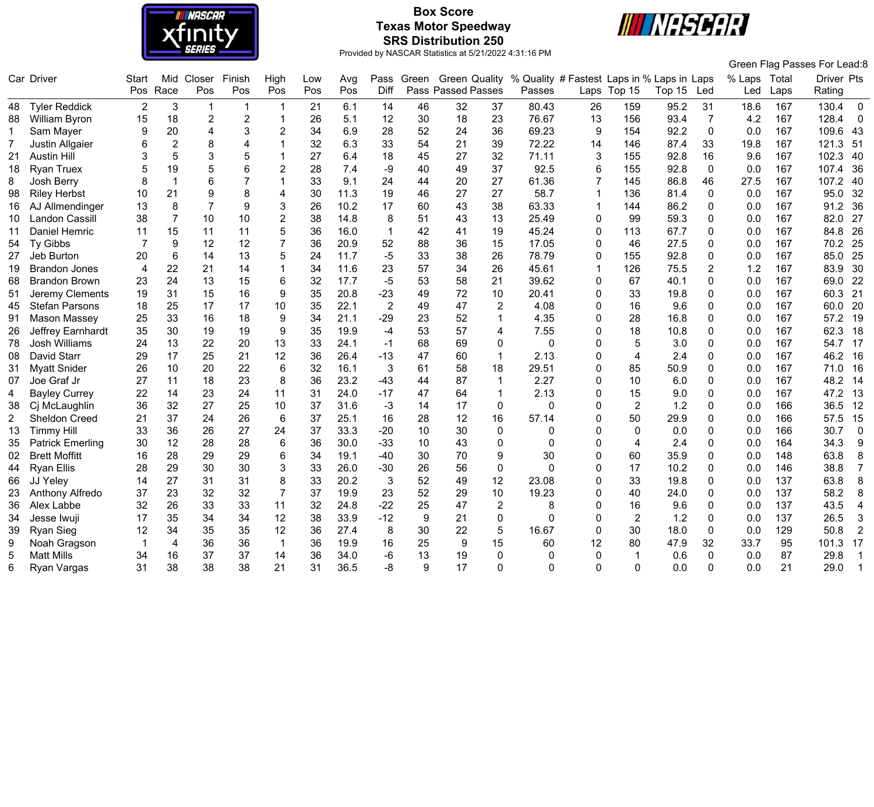

# **Box Score Texas Motor Speedway SRS Distribution 250**



|                |                         |                |                         |                |                  |                         |     |      |                |       |                      |                |                                            |                |                |        |                |              |      | Green Flag Passes For Lead:8 |                |
|----------------|-------------------------|----------------|-------------------------|----------------|------------------|-------------------------|-----|------|----------------|-------|----------------------|----------------|--------------------------------------------|----------------|----------------|--------|----------------|--------------|------|------------------------------|----------------|
|                | Car Driver              | Start          | Mid                     | Closer         | Finish           | High                    | Low | Avg  | Pass           | Green | <b>Green Quality</b> |                | % Quality # Fastest Laps in % Laps in Laps |                |                |        |                | % Laps Total |      | Driver Pts                   |                |
|                |                         | Pos            | Race                    | Pos            | Pos              | Pos                     | Pos | Pos  | Diff           |       | Pass Passed Passes   |                | Passes                                     |                | Laps Top 15    | Top 15 | Led            | Led          | Laps | Rating                       |                |
| 48             | <b>Tyler Reddick</b>    | $\overline{2}$ | $\mathbf{3}$            | $\mathbf{1}$   | -1               | $\mathbf 1$             | 21  | 6.1  | 14             | 46    | 32                   | 37             | 80.43                                      | 26             | 159            | 95.2   | 31             | 18.6         | 167  | 130.4                        | $\mathbf 0$    |
| 88             | William Byron           | 15             | 18                      | $\overline{2}$ | $\overline{2}$   | $\overline{\mathbf{1}}$ | 26  | 5.1  | 12             | 30    | 18                   | 23             | 76.67                                      | 13             | 156            | 93.4   | $\overline{7}$ | 4.2          | 167  | 128.4                        | $\mathbf 0$    |
| $\mathbf{1}$   | Sam Mayer               | 9              | 20                      | $\overline{4}$ | 3                | $\mathbf{2}$            | 34  | 6.9  | 28             | 52    | 24                   | 36             | 69.23                                      | 9              | 154            | 92.2   | $\mathbf 0$    | 0.0          | 167  | 109.6                        | -43            |
| $\overline{7}$ | Justin Allgaier         | 6              | $\overline{2}$          | 8              | 4                | 1                       | 32  | 6.3  | 33             | 54    | 21                   | 39             | 72.22                                      | 14             | 146            | 87.4   | 33             | 19.8         | 167  | 121.3                        | 51             |
| 21             | <b>Austin Hill</b>      |                | 5                       | 3              | 5                |                         | 27  | 6.4  | 18             | 45    | 27                   | 32             | 71.11                                      | 3              | 155            | 92.8   | 16             | 9.6          | 167  | 102.3                        | 40             |
| 18             | <b>Ryan Truex</b>       |                | 19                      | 5              | 6                | $\overline{2}$          | 28  | 7.4  | -9             | 40    | 49                   | 37             | 92.5                                       | 6              | 155            | 92.8   | $\Omega$       | 0.0          | 167  | 107.4                        | 36             |
| 8              | Josh Berry              | 8              | $\overline{\mathbf{1}}$ | 6              | $\overline{7}$   | 1                       | 33  | 9.1  | 24             | 44    | 20                   | 27             | 61.36                                      | 7              | 145            | 86.8   | 46             | 27.5         | 167  | 107.2                        | 40             |
| 98             | <b>Riley Herbst</b>     | 10             | 21                      | 9              | 8                | 4                       | 30  | 11.3 | 19             | 46    | 27                   | 27             | 58.7                                       | 1              | 136            | 81.4   | $\mathbf 0$    | 0.0          | 167  | 95.0                         | 32             |
| 16             | AJ Allmendinger         | 13             | 8                       | $\overline{7}$ | $\boldsymbol{9}$ | 3                       | 26  | 10.2 | 17             | 60    | 43                   | 38             | 63.33                                      | $\overline{1}$ | 144            | 86.2   | $\mathbf 0$    | 0.0          | 167  | 91.2                         | 36             |
| 10             | <b>Landon Cassill</b>   | 38             | $\overline{7}$          | 10             | 10               | $\overline{2}$          | 38  | 14.8 | 8              | 51    | 43                   | 13             | 25.49                                      | 0              | 99             | 59.3   | $\mathbf{0}$   | 0.0          | 167  | 82.0                         | 27             |
| 11             | Daniel Hemric           | 11             | 15                      | 11             | 11               | 5                       | 36  | 16.0 | $\mathbf{1}$   | 42    | 41                   | 19             | 45.24                                      | 0              | 113            | 67.7   | $\Omega$       | 0.0          | 167  | 84.8                         | 26             |
| 54             | Ty Gibbs                |                | $\boldsymbol{9}$        | 12             | 12               | $\overline{7}$          | 36  | 20.9 | 52             | 88    | 36                   | 15             | 17.05                                      | 0              | 46             | 27.5   | 0              | 0.0          | 167  | 70.2                         | 25             |
| 27             | Jeb Burton              | 20             | 6                       | 14             | 13               | 5                       | 24  | 11.7 | $-5$           | 33    | 38                   | 26             | 78.79                                      | 0              | 155            | 92.8   | $\mathbf 0$    | 0.0          | 167  | 85.0                         | 25             |
| 19             | <b>Brandon Jones</b>    | 4              | 22                      | 21             | 14               | $\mathbf 1$             | 34  | 11.6 | 23             | 57    | 34                   | 26             | 45.61                                      | $\overline{1}$ | 126            | 75.5   | $\overline{2}$ | 1.2          | 167  | 83.9                         | 30             |
| 68             | <b>Brandon Brown</b>    | 23             | 24                      | 13             | 15               | 6                       | 32  | 17.7 | $-5$           | 53    | 58                   | 21             | 39.62                                      | 0              | 67             | 40.1   | $\mathbf{0}$   | 0.0          | 167  | 69.0                         | 22             |
| 51             | Jeremy Clements         | 19             | 31                      | 15             | 16               | $\boldsymbol{9}$        | 35  | 20.8 | $-23$          | 49    | 72                   | 10             | 20.41                                      | 0              | 33             | 19.8   | $\mathbf{0}$   | 0.0          | 167  | 60.3                         | 21             |
| 45             | <b>Stefan Parsons</b>   | 18             | 25                      | 17             | 17               | 10                      | 35  | 22.1 | $\overline{2}$ | 49    | 47                   | $\overline{2}$ | 4.08                                       | 0              | 16             | 9.6    | $\Omega$       | 0.0          | 167  | 60.0                         | 20             |
| 91             | Mason Massey            | 25             | 33                      | 16             | 18               | 9                       | 34  | 21.1 | $-29$          | 23    | 52                   | $\mathbf{1}$   | 4.35                                       | 0              | 28             | 16.8   | $\mathbf 0$    | 0.0          | 167  | 57.2                         | 19             |
| 26             | Jeffrey Earnhardt       | 35             | 30                      | 19             | 19               | 9                       | 35  | 19.9 | $-4$           | 53    | 57                   | 4              | 7.55                                       | 0              | 18             | 10.8   | $\mathbf{0}$   | 0.0          | 167  | 62.3                         | 18             |
| 78             | <b>Josh Williams</b>    | 24             | 13                      | 22             | 20               | 13                      | 33  | 24.1 | $-1$           | 68    | 69                   | 0              | $\Omega$                                   | 0              | 5              | 3.0    | $\mathbf 0$    | 0.0          | 167  | 54.7                         | 17             |
| 08             | <b>David Starr</b>      | 29             | 17                      | 25             | 21               | 12                      | 36  | 26.4 | $-13$          | 47    | 60                   | $\overline{1}$ | 2.13                                       | 0              | $\overline{4}$ | 2.4    | $\Omega$       | 0.0          | 167  | 46.2                         | 16             |
| 31             | <b>Myatt Snider</b>     | 26             | 10                      | 20             | 22               | $6\phantom{1}$          | 32  | 16.1 | 3              | 61    | 58                   | 18             | 29.51                                      | 0              | 85             | 50.9   | $\mathbf{0}$   | 0.0          | 167  | 71.0                         | 16             |
| 07             | Joe Graf Jr             | 27             | 11                      | 18             | 23               | 8                       | 36  | 23.2 | $-43$          | 44    | 87                   | $\overline{1}$ | 2.27                                       | 0              | 10             | 6.0    | $\mathbf 0$    | 0.0          | 167  | 48.2                         | 14             |
| 4              | <b>Bayley Currey</b>    | 22             | 14                      | 23             | 24               | 11                      | 31  | 24.0 | $-17$          | 47    | 64                   | $\overline{1}$ | 2.13                                       | 0              | 15             | 9.0    | $\mathbf 0$    | 0.0          | 167  | 47.2                         | 13             |
| 38             | Cj McLaughlin           | 36             | 32                      | 27             | 25               | 10                      | 37  | 31.6 | $-3$           | 14    | 17                   | $\pmb{0}$      | $\Omega$                                   | 0              | $\overline{2}$ | 1.2    | $\mathbf{0}$   | 0.0          | 166  | 36.5                         | 12             |
| 2              | <b>Sheldon Creed</b>    | 21             | 37                      | 24             | 26               | 6                       | 37  | 25.1 | 16             | 28    | 12                   | 16             | 57.14                                      | 0              | 50             | 29.9   | $\mathbf{0}$   | 0.0          | 166  | 57.5                         | 15             |
| 13             | <b>Timmy Hill</b>       | 33             | 36                      | 26             | 27               | 24                      | 37  | 33.3 | $-20$          | 10    | 30                   | 0              | 0                                          | 0              | 0              | 0.0    | $\Omega$       | 0.0          | 166  | 30.7                         | 0              |
| 35             | <b>Patrick Emerling</b> | 30             | 12                      | 28             | 28               | $\,6$                   | 36  | 30.0 | $-33$          | 10    | 43                   | $\pmb{0}$      | $\mathbf 0$                                | 0              | 4              | 2.4    | $\mathbf 0$    | 0.0          | 164  | 34.3                         | 9              |
| 02             | <b>Brett Moffitt</b>    | 16             | 28                      | 29             | 29               | 6                       | 34  | 19.1 | $-40$          | 30    | 70                   | 9              | 30                                         | 0              | 60             | 35.9   | $\mathbf 0$    | 0.0          | 148  | 63.8                         | 8              |
| 44             | <b>Ryan Ellis</b>       | 28             | 29                      | 30             | 30               | 3                       | 33  | 26.0 | $-30$          | 26    | 56                   | 0              | $\Omega$                                   | 0              | 17             | 10.2   | $\mathbf{0}$   | 0.0          | 146  | 38.8                         | $\overline{7}$ |
| 66             | JJ Yeley                | 14             | 27                      | 31             | 31               | 8                       | 33  | 20.2 | 3              | 52    | 49                   | 12             | 23.08                                      | 0              | 33             | 19.8   | 0              | 0.0          | 137  | 63.8                         | 8              |
| 23             | Anthony Alfredo         | 37             | 23                      | 32             | 32               | $\overline{7}$          | 37  | 19.9 | 23             | 52    | 29                   | 10             | 19.23                                      | 0              | 40             | 24.0   | $\Omega$       | 0.0          | 137  | 58.2                         | 8              |
| 36             | Alex Labbe              | 32             | 26                      | 33             | 33               | 11                      | 32  | 24.8 | $-22$          | 25    | 47                   | $\overline{2}$ | 8                                          | 0              | 16             | 9.6    | $\mathbf 0$    | 0.0          | 137  | 43.5                         | $\overline{4}$ |
| 34             | Jesse Iwuji             | 17             | 35                      | 34             | 34               | 12                      | 38  | 33.9 | $-12$          | 9     | 21                   | $\pmb{0}$      | $\Omega$                                   | 0              | $\overline{2}$ | 1.2    | $\mathbf 0$    | 0.0          | 137  | 26.5                         | 3              |
| 39             | Ryan Sieg               | 12             | 34                      | 35             | 35               | 12                      | 36  | 27.4 | 8              | 30    | 22                   | 5              | 16.67                                      | 0              | 30             | 18.0   | $\mathbf 0$    | 0.0          | 129  | 50.8                         | $\overline{2}$ |
| 9              | Noah Gragson            |                | $\overline{4}$          | 36             | 36               | $\overline{\mathbf{1}}$ | 36  | 19.9 | 16             | 25    | 9                    | 15             | 60                                         | 12             | 80             | 47.9   | 32             | 33.7         | 95   | 101.3                        | 17             |
| 5              | <b>Matt Mills</b>       | 34             | 16                      | 37             | 37               | 14                      | 36  | 34.0 | $-6$           | 13    | 19                   | $\mathbf{0}$   | 0                                          | 0              |                | 0.6    | $\Omega$       | 0.0          | 87   | 29.8                         | 1              |
|                |                         |                |                         |                |                  |                         |     |      |                |       |                      |                |                                            |                |                |        |                |              |      |                              |                |
| 6              | Ryan Vargas             | 31             | 38                      | 38             | 38               | 21                      | 31  | 36.5 | -8             | 9     | 17                   | 0              | $\Omega$                                   | $\Omega$       | $\Omega$       | 0.0    | $\Omega$       | 0.0          | 21   | 29.0                         | $\overline{1}$ |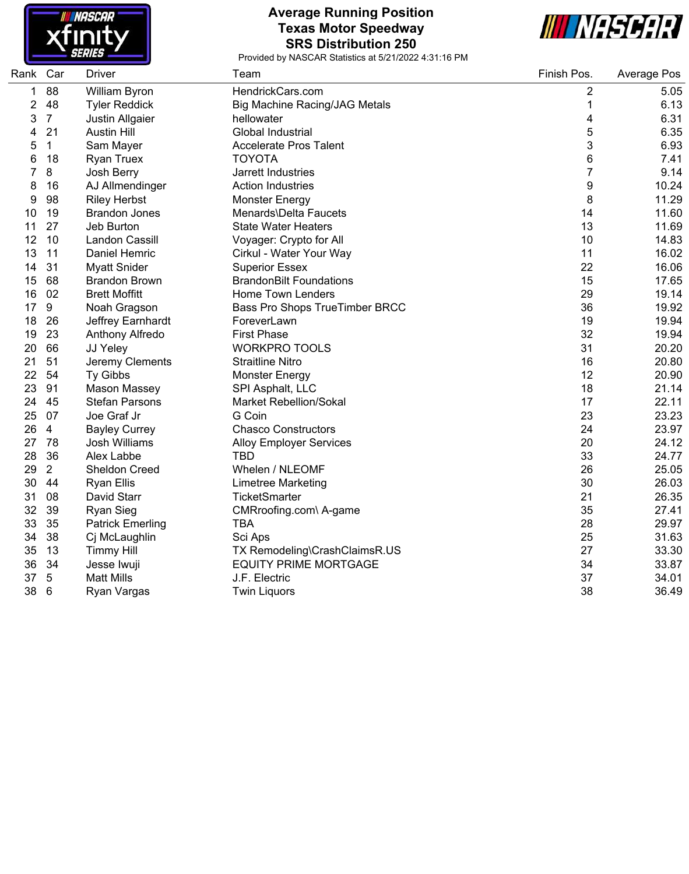

#### **Average Running Position Texas Motor Speedway SRS Distribution 250**



| Rank Car |                | <b>Driver</b>           | Team                           | Finish Pos. | Average Pos |
|----------|----------------|-------------------------|--------------------------------|-------------|-------------|
| 1        | 88             | William Byron           | HendrickCars.com               | 2           | 5.05        |
| 2        | 48             | <b>Tyler Reddick</b>    | Big Machine Racing/JAG Metals  | $\mathbf 1$ | 6.13        |
| 3        | $\overline{7}$ | Justin Allgaier         | hellowater                     | 4           | 6.31        |
| 4        | 21             | <b>Austin Hill</b>      | Global Industrial              | 5           | 6.35        |
| 5        | $\mathbf{1}$   | Sam Mayer               | <b>Accelerate Pros Talent</b>  | 3           | 6.93        |
| 6        | 18             | <b>Ryan Truex</b>       | <b>TOYOTA</b>                  | 6           | 7.41        |
| 7        | 8              | Josh Berry              | Jarrett Industries             | 7           | 9.14        |
| 8        | 16             | AJ Allmendinger         | <b>Action Industries</b>       | 9           | 10.24       |
| 9        | 98             | <b>Riley Herbst</b>     | <b>Monster Energy</b>          | 8           | 11.29       |
| 10       | 19             | <b>Brandon Jones</b>    | Menards\Delta Faucets          | 14          | 11.60       |
| 11       | 27             | Jeb Burton              | <b>State Water Heaters</b>     | 13          | 11.69       |
| 12       | 10             | Landon Cassill          | Voyager: Crypto for All        | 10          | 14.83       |
| 13       | 11             | Daniel Hemric           | Cirkul - Water Your Way        | 11          | 16.02       |
| 14       | 31             | <b>Myatt Snider</b>     | <b>Superior Essex</b>          | 22          | 16.06       |
| 15       | 68             | <b>Brandon Brown</b>    | <b>BrandonBilt Foundations</b> | 15          | 17.65       |
| 16       | 02             | <b>Brett Moffitt</b>    | <b>Home Town Lenders</b>       | 29          | 19.14       |
| 17       | 9              | Noah Gragson            | Bass Pro Shops TrueTimber BRCC | 36          | 19.92       |
| 18       | 26             | Jeffrey Earnhardt       | ForeverLawn                    | 19          | 19.94       |
| 19       | 23             | Anthony Alfredo         | <b>First Phase</b>             | 32          | 19.94       |
| 20       | 66             | JJ Yeley                | <b>WORKPRO TOOLS</b>           | 31          | 20.20       |
| 21       | 51             | Jeremy Clements         | <b>Straitline Nitro</b>        | 16          | 20.80       |
| 22       | 54             | Ty Gibbs                | <b>Monster Energy</b>          | 12          | 20.90       |
| 23       | 91             | Mason Massey            | SPI Asphalt, LLC               | 18          | 21.14       |
| 24       | 45             | <b>Stefan Parsons</b>   | <b>Market Rebellion/Sokal</b>  | 17          | 22.11       |
| 25       | 07             | Joe Graf Jr             | G Coin                         | 23          | 23.23       |
| 26       | $\overline{4}$ | <b>Bayley Currey</b>    | <b>Chasco Constructors</b>     | 24          | 23.97       |
| 27       | 78             | Josh Williams           | <b>Alloy Employer Services</b> | 20          | 24.12       |
| 28       | 36             | Alex Labbe              | <b>TBD</b>                     | 33          | 24.77       |
| 29       | $\overline{2}$ | <b>Sheldon Creed</b>    | Whelen / NLEOMF                | 26          | 25.05       |
| 30       | 44             | <b>Ryan Ellis</b>       | <b>Limetree Marketing</b>      | 30          | 26.03       |
| 31       | 08             | David Starr             | TicketSmarter                  | 21          | 26.35       |
| 32       | 39             | <b>Ryan Sieg</b>        | CMRroofing.com\ A-game         | 35          | 27.41       |
| 33       | 35             | <b>Patrick Emerling</b> | <b>TBA</b>                     | 28          | 29.97       |
| 34       | 38             | Cj McLaughlin           | Sci Aps                        | 25          | 31.63       |
| 35       | 13             | <b>Timmy Hill</b>       | TX Remodeling\CrashClaimsR.US  | 27          | 33.30       |
| 36       | 34             | Jesse Iwuji             | <b>EQUITY PRIME MORTGAGE</b>   | 34          | 33.87       |
| 37       | $\sqrt{5}$     | <b>Matt Mills</b>       | J.F. Electric                  | 37          | 34.01       |
| 38       | 6              | Ryan Vargas             | <b>Twin Liquors</b>            | 38          | 36.49       |
|          |                |                         |                                |             |             |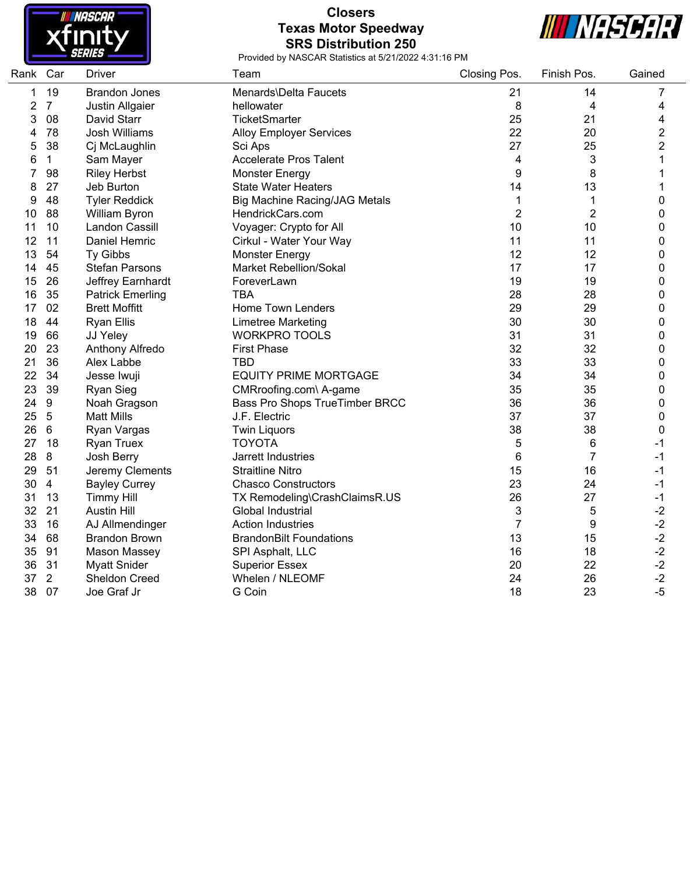

## **Closers Texas Motor Speedway SRS Distribution 250**



| Rank Car |                 | Driver                  | Team                                 | Closing Pos.   | Finish Pos.    | Gained         |
|----------|-----------------|-------------------------|--------------------------------------|----------------|----------------|----------------|
| 1        | 19              | <b>Brandon Jones</b>    | Menards\Delta Faucets                | 21             | 14             | 7              |
| 2        | $\overline{7}$  | Justin Allgaier         | hellowater                           | 8              | 4              | 4              |
| 3        | 08              | David Starr             | <b>TicketSmarter</b>                 | 25             | 21             | 4              |
| 4        | 78              | <b>Josh Williams</b>    | <b>Alloy Employer Services</b>       | 22             | 20             | $\overline{2}$ |
| 5        | 38              | Cj McLaughlin           | Sci Aps                              | 27             | 25             | $\overline{2}$ |
| 6        | $\mathbf 1$     | Sam Mayer               | <b>Accelerate Pros Talent</b>        | 4              | 3              | 1              |
| 7        | 98              | <b>Riley Herbst</b>     | Monster Energy                       | 9              | 8              | 1              |
| 8        | 27              | Jeb Burton              | <b>State Water Heaters</b>           | 14             | 13             | 1              |
| 9        | 48              | <b>Tyler Reddick</b>    | <b>Big Machine Racing/JAG Metals</b> | 1              | 1              | 0              |
| 10       | 88              | William Byron           | HendrickCars.com                     | $\overline{2}$ | $\overline{2}$ | 0              |
| 11       | 10              | <b>Landon Cassill</b>   | Voyager: Crypto for All              | 10             | 10             | 0              |
| 12       | 11              | Daniel Hemric           | Cirkul - Water Your Way              | 11             | 11             | 0              |
| 13       | 54              | Ty Gibbs                | <b>Monster Energy</b>                | 12             | 12             | 0              |
| 14       | 45              | <b>Stefan Parsons</b>   | <b>Market Rebellion/Sokal</b>        | 17             | 17             | 0              |
| 15       | 26              | Jeffrey Earnhardt       | ForeverLawn                          | 19             | 19             | 0              |
| 16       | 35              | <b>Patrick Emerling</b> | <b>TBA</b>                           | 28             | 28             | 0              |
| 17       | 02              | <b>Brett Moffitt</b>    | <b>Home Town Lenders</b>             | 29             | 29             | 0              |
| 18       | 44              | <b>Ryan Ellis</b>       | Limetree Marketing                   | 30             | 30             | 0              |
| 19       | 66              | JJ Yeley                | <b>WORKPRO TOOLS</b>                 | 31             | 31             | 0              |
| 20       | 23              | Anthony Alfredo         | <b>First Phase</b>                   | 32             | 32             | 0              |
| 21       | 36              | Alex Labbe              | <b>TBD</b>                           | 33             | 33             | 0              |
| 22       | 34              | Jesse Iwuji             | <b>EQUITY PRIME MORTGAGE</b>         | 34             | 34             | 0              |
| 23       | 39              | Ryan Sieg               | CMRroofing.com\ A-game               | 35             | 35             | 0              |
| 24       | $9\,$           | Noah Gragson            | Bass Pro Shops TrueTimber BRCC       | 36             | 36             | 0              |
| 25       | $\overline{5}$  | <b>Matt Mills</b>       | J.F. Electric                        | 37             | 37             | 0              |
| 26       | $6\phantom{1}6$ | Ryan Vargas             | <b>Twin Liquors</b>                  | 38             | 38             | 0              |
| 27       | 18              | <b>Ryan Truex</b>       | <b>TOYOTA</b>                        | 5              | 6              | $-1$           |
| 28       | 8               | Josh Berry              | Jarrett Industries                   | 6              | $\overline{7}$ | $-1$           |
| 29       | 51              | Jeremy Clements         | <b>Straitline Nitro</b>              | 15             | 16             | $-1$           |
| 30       | $\overline{4}$  | <b>Bayley Currey</b>    | <b>Chasco Constructors</b>           | 23             | 24             | $-1$           |
| 31       | 13              | <b>Timmy Hill</b>       | TX Remodeling\CrashClaimsR.US        | 26             | 27             | $-1$           |
| 32       | 21              | <b>Austin Hill</b>      | Global Industrial                    | 3              | 5              | $-2$           |
| 33       | 16              | AJ Allmendinger         | <b>Action Industries</b>             | 7              | 9              | $-2$           |
| 34       | 68              | <b>Brandon Brown</b>    | <b>BrandonBilt Foundations</b>       | 13             | 15             | $-2$           |
| 35       | 91              | <b>Mason Massey</b>     | SPI Asphalt, LLC                     | 16             | 18             | $-2$           |
| 36       | 31              | <b>Myatt Snider</b>     | <b>Superior Essex</b>                | 20             | 22             | $-2$           |
| 37       | $\overline{2}$  | <b>Sheldon Creed</b>    | Whelen / NLEOMF                      | 24             | 26             | $-2$           |
| 38       | 07              | Joe Graf Jr             | G Coin                               | 18             | 23             | $-5$           |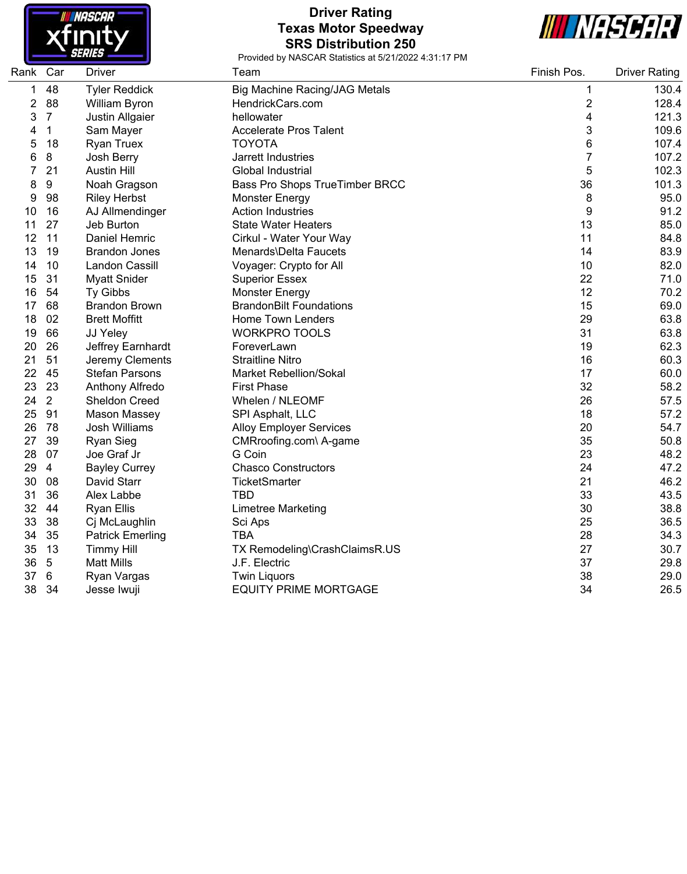

### **Driver Rating Texas Motor Speedway SRS Distribution 250**



| Rank | Car             | <b>Driver</b>           | Team                                 | Finish Pos.             | <b>Driver Rating</b> |
|------|-----------------|-------------------------|--------------------------------------|-------------------------|----------------------|
| 1    | 48              | <b>Tyler Reddick</b>    | <b>Big Machine Racing/JAG Metals</b> | 1                       | 130.4                |
| 2    | 88              | William Byron           | HendrickCars.com                     | $\overline{\mathbf{c}}$ | 128.4                |
| 3    | $\overline{7}$  | Justin Allgaier         | hellowater                           | 4                       | 121.3                |
| 4    | $\mathbf{1}$    | Sam Mayer               | <b>Accelerate Pros Talent</b>        | 3                       | 109.6                |
| 5    | 18              | <b>Ryan Truex</b>       | <b>TOYOTA</b>                        | 6                       | 107.4                |
| 6    | 8               | Josh Berry              | Jarrett Industries                   | 7                       | 107.2                |
| 7    | 21              | <b>Austin Hill</b>      | Global Industrial                    | 5                       | 102.3                |
| 8    | 9               | Noah Gragson            | Bass Pro Shops TrueTimber BRCC       | 36                      | 101.3                |
| 9    | 98              | <b>Riley Herbst</b>     | <b>Monster Energy</b>                | 8                       | 95.0                 |
| 10   | 16              | AJ Allmendinger         | <b>Action Industries</b>             | 9                       | 91.2                 |
| 11   | 27              | Jeb Burton              | <b>State Water Heaters</b>           | 13                      | 85.0                 |
| 12   | 11              | Daniel Hemric           | Cirkul - Water Your Way              | 11                      | 84.8                 |
| 13   | 19              | <b>Brandon Jones</b>    | Menards\Delta Faucets                | 14                      | 83.9                 |
| 14   | 10              | Landon Cassill          | Voyager: Crypto for All              | 10                      | 82.0                 |
| 15   | 31              | <b>Myatt Snider</b>     | <b>Superior Essex</b>                | 22                      | 71.0                 |
| 16   | 54              | Ty Gibbs                | <b>Monster Energy</b>                | 12                      | 70.2                 |
| 17   | 68              | <b>Brandon Brown</b>    | <b>BrandonBilt Foundations</b>       | 15                      | 69.0                 |
| 18   | 02              | <b>Brett Moffitt</b>    | Home Town Lenders                    | 29                      | 63.8                 |
| 19   | 66              | JJ Yeley                | <b>WORKPRO TOOLS</b>                 | 31                      | 63.8                 |
| 20   | 26              | Jeffrey Earnhardt       | ForeverLawn                          | 19                      | 62.3                 |
| 21   | 51              | Jeremy Clements         | <b>Straitline Nitro</b>              | 16                      | 60.3                 |
| 22   | 45              | <b>Stefan Parsons</b>   | <b>Market Rebellion/Sokal</b>        | 17                      | 60.0                 |
| 23   | 23              | Anthony Alfredo         | <b>First Phase</b>                   | 32                      | 58.2                 |
| 24   | $\overline{2}$  | Sheldon Creed           | Whelen / NLEOMF                      | 26                      | 57.5                 |
| 25   | 91              | Mason Massey            | SPI Asphalt, LLC                     | 18                      | 57.2                 |
| 26   | 78              | Josh Williams           | <b>Alloy Employer Services</b>       | 20                      | 54.7                 |
| 27   | 39              | <b>Ryan Sieg</b>        | CMRroofing.com\ A-game               | 35                      | 50.8                 |
| 28   | 07              | Joe Graf Jr             | G Coin                               | 23                      | 48.2                 |
| 29   | $\overline{4}$  | <b>Bayley Currey</b>    | <b>Chasco Constructors</b>           | 24                      | 47.2                 |
| 30   | 08              | David Starr             | <b>TicketSmarter</b>                 | 21                      | 46.2                 |
| 31   | 36              | Alex Labbe              | TBD                                  | 33                      | 43.5                 |
| 32   | 44              | <b>Ryan Ellis</b>       | <b>Limetree Marketing</b>            | 30                      | 38.8                 |
| 33   | 38              | Cj McLaughlin           | Sci Aps                              | 25                      | 36.5                 |
| 34   | 35              | <b>Patrick Emerling</b> | <b>TBA</b>                           | 28                      | 34.3                 |
| 35   | 13              | <b>Timmy Hill</b>       | TX Remodeling\CrashClaimsR.US        | 27                      | 30.7                 |
| 36   | $5\phantom{.0}$ | <b>Matt Mills</b>       | J.F. Electric                        | 37                      | 29.8                 |
| 37   | 6               | Ryan Vargas             | <b>Twin Liquors</b>                  | 38                      | 29.0                 |
| 38   | 34              | Jesse Iwuji             | <b>EQUITY PRIME MORTGAGE</b>         | 34                      | 26.5                 |
|      |                 |                         |                                      |                         |                      |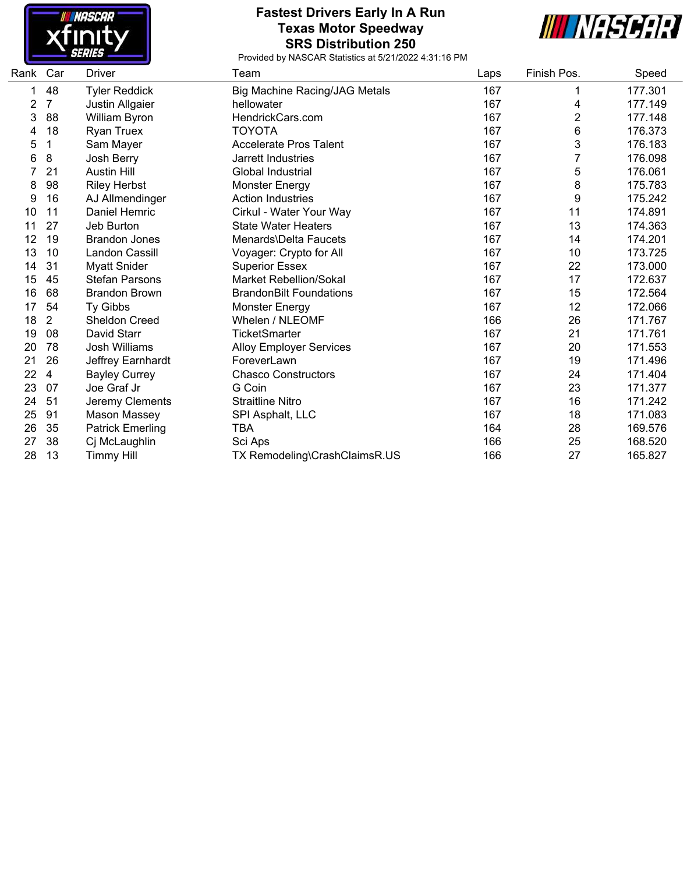

#### **Fastest Drivers Early In A Run Texas Motor Speedway SRS Distribution 250**



| Rank | Car            | <b>Driver</b>           | Team                           | Laps | Finish Pos. | Speed   |
|------|----------------|-------------------------|--------------------------------|------|-------------|---------|
|      | 48             | <b>Tyler Reddick</b>    | Big Machine Racing/JAG Metals  | 167  |             | 177.301 |
| 2    | 7              | Justin Allgaier         | hellowater                     | 167  | 4           | 177.149 |
| 3    | 88             | William Byron           | HendrickCars.com               | 167  | 2           | 177.148 |
| 4    | 18             | <b>Ryan Truex</b>       | <b>TOYOTA</b>                  | 167  | 6           | 176.373 |
| 5    | 1              | Sam Mayer               | <b>Accelerate Pros Talent</b>  | 167  | 3           | 176.183 |
| 6    | 8              | Josh Berry              | Jarrett Industries             | 167  | 7           | 176.098 |
|      | 21             | <b>Austin Hill</b>      | Global Industrial              | 167  | 5           | 176.061 |
| 8    | 98             | <b>Riley Herbst</b>     | <b>Monster Energy</b>          | 167  | 8           | 175.783 |
| 9    | 16             | AJ Allmendinger         | <b>Action Industries</b>       | 167  | 9           | 175.242 |
| 10   | 11             | <b>Daniel Hemric</b>    | Cirkul - Water Your Way        | 167  | 11          | 174.891 |
| 11   | 27             | Jeb Burton              | <b>State Water Heaters</b>     | 167  | 13          | 174.363 |
| 12   | 19             | <b>Brandon Jones</b>    | <b>Menards</b> Delta Faucets   | 167  | 14          | 174.201 |
| 13   | 10             | Landon Cassill          | Voyager: Crypto for All        | 167  | 10          | 173.725 |
| 14   | 31             | <b>Myatt Snider</b>     | <b>Superior Essex</b>          | 167  | 22          | 173.000 |
| 15   | 45             | <b>Stefan Parsons</b>   | <b>Market Rebellion/Sokal</b>  | 167  | 17          | 172.637 |
| 16   | 68             | <b>Brandon Brown</b>    | <b>BrandonBilt Foundations</b> | 167  | 15          | 172.564 |
| 17   | 54             | Ty Gibbs                | <b>Monster Energy</b>          | 167  | 12          | 172.066 |
| 18   | $\overline{2}$ | Sheldon Creed           | Whelen / NLEOMF                | 166  | 26          | 171.767 |
| 19   | 08             | David Starr             | TicketSmarter                  | 167  | 21          | 171.761 |
| 20   | 78             | <b>Josh Williams</b>    | <b>Alloy Employer Services</b> | 167  | 20          | 171.553 |
| 21   | 26             | Jeffrey Earnhardt       | ForeverLawn                    | 167  | 19          | 171.496 |
| 22   | 4              | <b>Bayley Currey</b>    | <b>Chasco Constructors</b>     | 167  | 24          | 171.404 |
| 23   | 07             | Joe Graf Jr             | G Coin                         | 167  | 23          | 171.377 |
| 24   | 51             | Jeremy Clements         | <b>Straitline Nitro</b>        | 167  | 16          | 171.242 |
| 25   | 91             | Mason Massey            | SPI Asphalt, LLC               | 167  | 18          | 171.083 |
| 26   | 35             | <b>Patrick Emerling</b> | TBA                            | 164  | 28          | 169.576 |
| 27   | 38             | Cj McLaughlin           | Sci Aps                        | 166  | 25          | 168.520 |
| 28   | 13             | <b>Timmy Hill</b>       | TX Remodeling\CrashClaimsR.US  | 166  | 27          | 165.827 |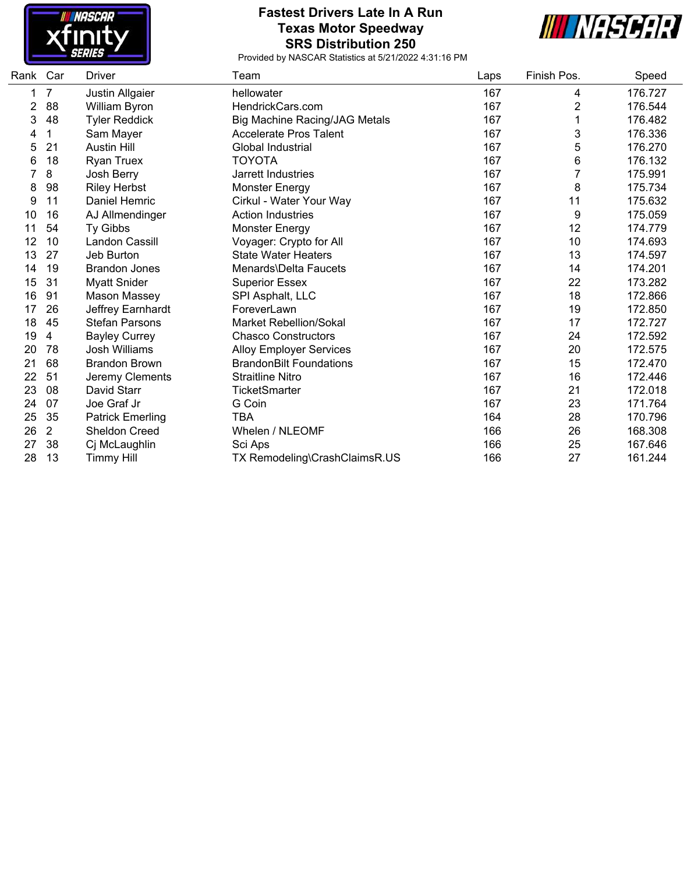

#### **Fastest Drivers Late In A Run Texas Motor Speedway SRS Distribution 250**



| Rank | Car            | <b>Driver</b>           | Team                                 | Laps | Finish Pos.    | Speed   |
|------|----------------|-------------------------|--------------------------------------|------|----------------|---------|
|      | 7              | Justin Allgaier         | hellowater                           | 167  | 4              | 176.727 |
| 2    | 88             | William Byron           | HendrickCars.com                     | 167  | $\overline{c}$ | 176.544 |
| 3    | 48             | <b>Tyler Reddick</b>    | <b>Big Machine Racing/JAG Metals</b> | 167  | 1              | 176.482 |
| 4    | 1              | Sam Mayer               | <b>Accelerate Pros Talent</b>        | 167  | 3              | 176.336 |
| 5    | 21             | <b>Austin Hill</b>      | Global Industrial                    | 167  | 5              | 176.270 |
| 6    | 18             | <b>Ryan Truex</b>       | <b>TOYOTA</b>                        | 167  | 6              | 176.132 |
| 7    | 8              | Josh Berry              | Jarrett Industries                   | 167  | 7              | 175.991 |
| 8    | 98             | <b>Riley Herbst</b>     | Monster Energy                       | 167  | 8              | 175.734 |
| 9    | 11             | Daniel Hemric           | Cirkul - Water Your Way              | 167  | 11             | 175.632 |
| 10   | 16             | AJ Allmendinger         | <b>Action Industries</b>             | 167  | 9              | 175.059 |
| 11   | 54             | Ty Gibbs                | <b>Monster Energy</b>                | 167  | 12             | 174.779 |
| 12   | 10             | Landon Cassill          | Voyager: Crypto for All              | 167  | 10             | 174.693 |
| 13   | 27             | Jeb Burton              | <b>State Water Heaters</b>           | 167  | 13             | 174.597 |
| 14   | 19             | <b>Brandon Jones</b>    | Menards\Delta Faucets                | 167  | 14             | 174.201 |
| 15   | 31             | <b>Myatt Snider</b>     | <b>Superior Essex</b>                | 167  | 22             | 173.282 |
| 16   | 91             | Mason Massey            | SPI Asphalt, LLC                     | 167  | 18             | 172.866 |
| 17   | 26             | Jeffrey Earnhardt       | ForeverLawn                          | 167  | 19             | 172.850 |
| 18   | 45             | <b>Stefan Parsons</b>   | <b>Market Rebellion/Sokal</b>        | 167  | 17             | 172.727 |
| 19   | 4              | <b>Bayley Currey</b>    | <b>Chasco Constructors</b>           | 167  | 24             | 172.592 |
| 20   | 78             | <b>Josh Williams</b>    | <b>Alloy Employer Services</b>       | 167  | 20             | 172.575 |
| 21   | 68             | <b>Brandon Brown</b>    | <b>BrandonBilt Foundations</b>       | 167  | 15             | 172.470 |
| 22   | 51             | Jeremy Clements         | <b>Straitline Nitro</b>              | 167  | 16             | 172.446 |
| 23   | 08             | David Starr             | TicketSmarter                        | 167  | 21             | 172.018 |
| 24   | 07             | Joe Graf Jr             | G Coin                               | 167  | 23             | 171.764 |
| 25   | 35             | <b>Patrick Emerling</b> | <b>TBA</b>                           | 164  | 28             | 170.796 |
| 26   | $\overline{2}$ | <b>Sheldon Creed</b>    | Whelen / NLEOMF                      | 166  | 26             | 168.308 |
| 27   | 38             | Cj McLaughlin           | Sci Aps                              | 166  | 25             | 167.646 |
| 28   | 13             | <b>Timmy Hill</b>       | TX Remodeling\CrashClaimsR.US        | 166  | 27             | 161.244 |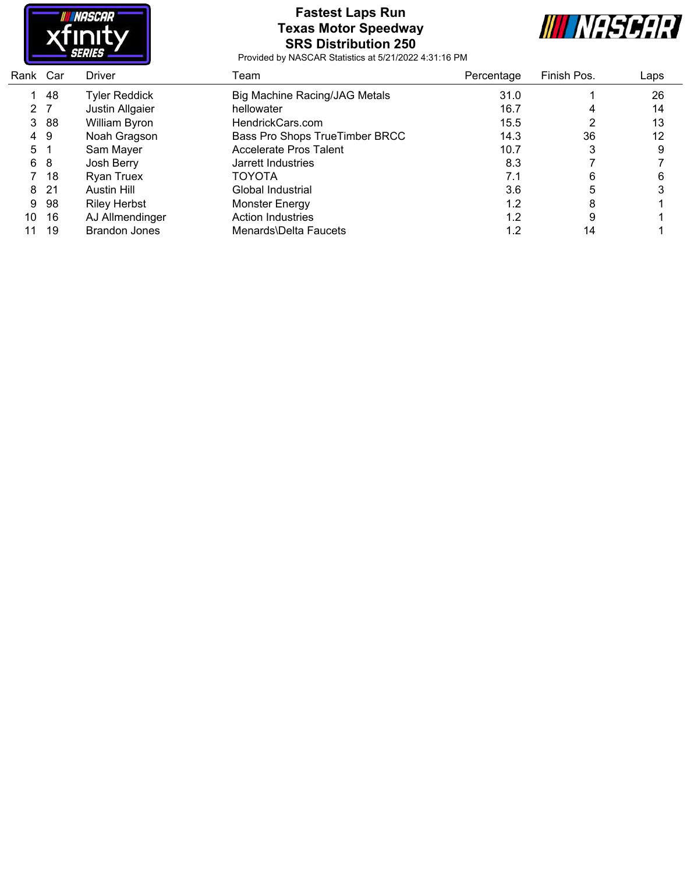

### **Fastest Laps Run Texas Motor Speedway SRS Distribution 250**



| Car | <b>Driver</b>        | Team                           | Percentage | Finish Pos. | Laps |
|-----|----------------------|--------------------------------|------------|-------------|------|
| 48  | Tyler Reddick        | Big Machine Racing/JAG Metals  | 31.0       |             | 26   |
| 2 7 | Justin Allgaier      | hellowater                     | 16.7       | 4           | 14   |
| -88 | William Byron        | HendrickCars.com               | 15.5       |             | 13   |
| 49  | Noah Gragson         | Bass Pro Shops TrueTimber BRCC | 14.3       | 36          | 12   |
|     | Sam Mayer            | Accelerate Pros Talent         | 10.7       | 3           | 9    |
| -8  | Josh Berry           | Jarrett Industries             | 8.3        |             |      |
| 18  | <b>Ryan Truex</b>    | <b>TOYOTA</b>                  | 7.1        | 6           | 6    |
| 21  | Austin Hill          | Global Industrial              | 3.6        | 5           |      |
| -98 | <b>Riley Herbst</b>  | <b>Monster Energy</b>          | 1.2        | 8           |      |
| 16  | AJ Allmendinger      | <b>Action Industries</b>       | 1.2        | 9           |      |
| 19  | <b>Brandon Jones</b> | Menards\Delta Faucets          | 1.2        | 14          |      |
|     |                      |                                |            |             |      |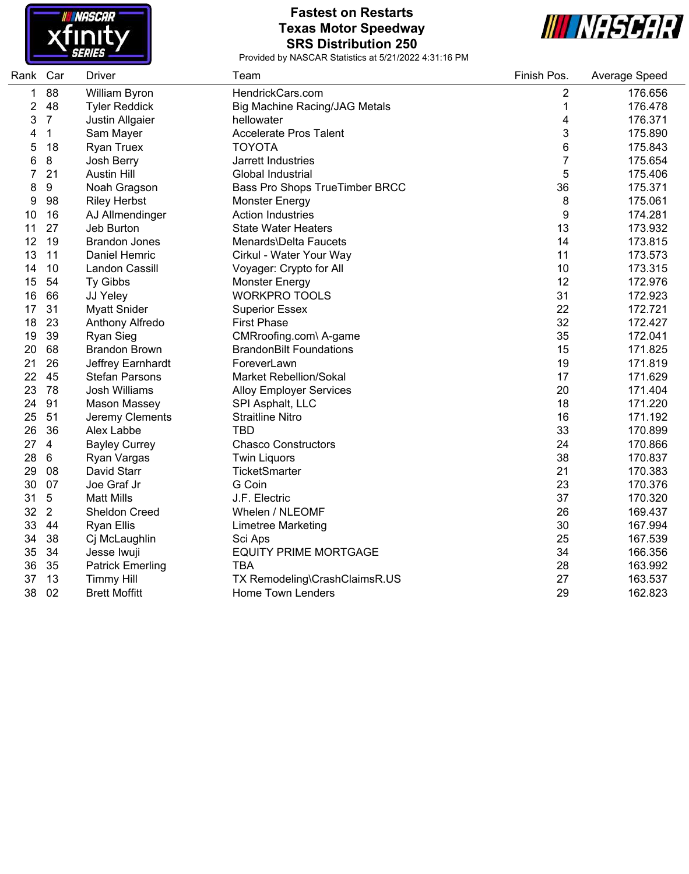

### **Fastest on Restarts Texas Motor Speedway SRS Distribution 250**



| Rank Car |                  | <b>Driver</b>           | Team                                 | Finish Pos.      | Average Speed |
|----------|------------------|-------------------------|--------------------------------------|------------------|---------------|
| 1        | 88               | William Byron           | HendrickCars.com                     | 2                | 176.656       |
| 2        | 48               | <b>Tyler Reddick</b>    | <b>Big Machine Racing/JAG Metals</b> | 1                | 176.478       |
| 3        | $\overline{7}$   | Justin Allgaier         | hellowater                           | 4                | 176.371       |
| 4        | 1                | Sam Mayer               | <b>Accelerate Pros Talent</b>        | 3                | 175.890       |
| 5        | 18               | <b>Ryan Truex</b>       | <b>TOYOTA</b>                        | 6                | 175.843       |
| 6        | 8                | Josh Berry              | Jarrett Industries                   | 7                | 175.654       |
| 7        | 21               | <b>Austin Hill</b>      | Global Industrial                    | 5                | 175.406       |
| 8        | $\boldsymbol{9}$ | Noah Gragson            | Bass Pro Shops TrueTimber BRCC       | 36               | 175.371       |
| 9        | 98               | <b>Riley Herbst</b>     | <b>Monster Energy</b>                | 8                | 175.061       |
| 10       | 16               | AJ Allmendinger         | <b>Action Industries</b>             | $\boldsymbol{9}$ | 174.281       |
| 11       | 27               | Jeb Burton              | <b>State Water Heaters</b>           | 13               | 173.932       |
| 12       | 19               | <b>Brandon Jones</b>    | Menards\Delta Faucets                | 14               | 173.815       |
| 13       | 11               | Daniel Hemric           | Cirkul - Water Your Way              | 11               | 173.573       |
| 14       | 10               | <b>Landon Cassill</b>   | Voyager: Crypto for All              | 10               | 173.315       |
| 15       | 54               | Ty Gibbs                | <b>Monster Energy</b>                | 12               | 172.976       |
| 16       | 66               | JJ Yeley                | <b>WORKPRO TOOLS</b>                 | 31               | 172.923       |
| 17       | 31               | <b>Myatt Snider</b>     | <b>Superior Essex</b>                | 22               | 172.721       |
| 18       | 23               | Anthony Alfredo         | <b>First Phase</b>                   | 32               | 172.427       |
| 19       | 39               | <b>Ryan Sieg</b>        | CMRroofing.com\ A-game               | 35               | 172.041       |
| 20       | 68               | <b>Brandon Brown</b>    | <b>BrandonBilt Foundations</b>       | 15               | 171.825       |
| 21       | 26               | Jeffrey Earnhardt       | ForeverLawn                          | 19               | 171.819       |
| 22       | 45               | <b>Stefan Parsons</b>   | Market Rebellion/Sokal               | 17               | 171.629       |
| 23       | 78               | <b>Josh Williams</b>    | <b>Alloy Employer Services</b>       | 20               | 171.404       |
| 24       | 91               | <b>Mason Massey</b>     | SPI Asphalt, LLC                     | 18               | 171.220       |
| 25       | 51               | Jeremy Clements         | <b>Straitline Nitro</b>              | 16               | 171.192       |
| 26       | 36               | Alex Labbe              | <b>TBD</b>                           | 33               | 170.899       |
| 27       | $\overline{4}$   | <b>Bayley Currey</b>    | <b>Chasco Constructors</b>           | 24               | 170.866       |
| 28       | 6                | Ryan Vargas             | <b>Twin Liquors</b>                  | 38               | 170.837       |
| 29       | 08               | David Starr             | <b>TicketSmarter</b>                 | 21               | 170.383       |
| 30       | 07               | Joe Graf Jr             | G Coin                               | 23               | 170.376       |
| 31       | $5\,$            | <b>Matt Mills</b>       | J.F. Electric                        | 37               | 170.320       |
| 32       | $\overline{2}$   | Sheldon Creed           | Whelen / NLEOMF                      | 26               | 169.437       |
| 33       | 44               | <b>Ryan Ellis</b>       | <b>Limetree Marketing</b>            | 30               | 167.994       |
| 34       | 38               | Cj McLaughlin           | Sci Aps                              | 25               | 167.539       |
| 35       | 34               | Jesse Iwuji             | <b>EQUITY PRIME MORTGAGE</b>         | 34               | 166.356       |
| 36       | 35               | <b>Patrick Emerling</b> | <b>TBA</b>                           | 28               | 163.992       |
| 37       | 13               | <b>Timmy Hill</b>       | TX Remodeling\CrashClaimsR.US        | 27               | 163.537       |
| 38       | 02               | <b>Brett Moffitt</b>    | <b>Home Town Lenders</b>             | 29               | 162.823       |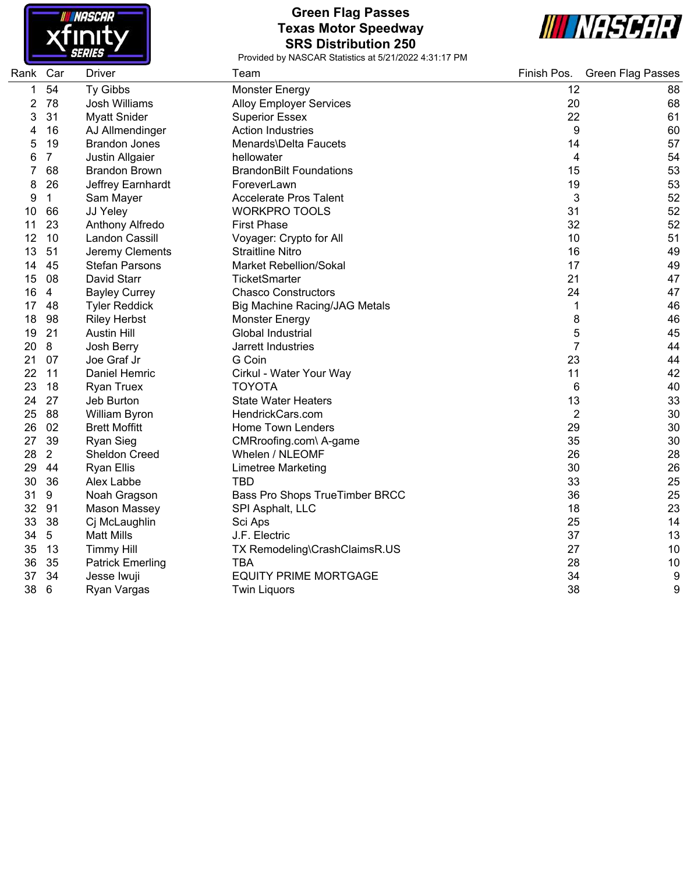

### **Green Flag Passes Texas Motor Speedway SRS Distribution 250**



| Rank Car |                | <b>Driver</b>           | Team                                 | Finish Pos.    | <b>Green Flag Passes</b> |
|----------|----------------|-------------------------|--------------------------------------|----------------|--------------------------|
| 1        | 54             | Ty Gibbs                | <b>Monster Energy</b>                | 12             | 88                       |
| 2        | 78             | <b>Josh Williams</b>    | <b>Alloy Employer Services</b>       | 20             | 68                       |
| 3        | 31             | <b>Myatt Snider</b>     | <b>Superior Essex</b>                | 22             | 61                       |
| 4        | 16             | AJ Allmendinger         | <b>Action Industries</b>             | 9              | 60                       |
| 5        | 19             | <b>Brandon Jones</b>    | Menards\Delta Faucets                | 14             | 57                       |
| 6        | $\overline{7}$ | Justin Allgaier         | hellowater                           | 4              | 54                       |
|          | 68             | <b>Brandon Brown</b>    | <b>BrandonBilt Foundations</b>       | 15             | 53                       |
| 8        | 26             | Jeffrey Earnhardt       | ForeverLawn                          | 19             | 53                       |
| 9        | $\mathbf{1}$   | Sam Mayer               | <b>Accelerate Pros Talent</b>        | 3              | 52                       |
| 10       | 66             | JJ Yeley                | <b>WORKPRO TOOLS</b>                 | 31             | 52                       |
| 11       | 23             | Anthony Alfredo         | <b>First Phase</b>                   | 32             | 52                       |
| 12       | 10             | Landon Cassill          | Voyager: Crypto for All              | 10             | 51                       |
| 13       | 51             | Jeremy Clements         | <b>Straitline Nitro</b>              | 16             | 49                       |
| 14       | 45             | <b>Stefan Parsons</b>   | <b>Market Rebellion/Sokal</b>        | 17             | 49                       |
| 15       | 08             | David Starr             | <b>TicketSmarter</b>                 | 21             | 47                       |
| 16       | $\overline{4}$ | <b>Bayley Currey</b>    | <b>Chasco Constructors</b>           | 24             | 47                       |
| 17       | 48             | <b>Tyler Reddick</b>    | <b>Big Machine Racing/JAG Metals</b> | 1              | 46                       |
| 18       | 98             | <b>Riley Herbst</b>     | <b>Monster Energy</b>                | 8              | 46                       |
| 19       | 21             | <b>Austin Hill</b>      | Global Industrial                    | 5              | 45                       |
| 20       | 8              | Josh Berry              | Jarrett Industries                   | 7              | 44                       |
| 21       | 07             | Joe Graf Jr             | G Coin                               | 23             | 44                       |
| 22       | 11             | Daniel Hemric           | Cirkul - Water Your Way              | 11             | 42                       |
| 23       | 18             | <b>Ryan Truex</b>       | <b>TOYOTA</b>                        | 6              | 40                       |
| 24       | 27             | Jeb Burton              | <b>State Water Heaters</b>           | 13             | 33                       |
| 25       | 88             | William Byron           | HendrickCars.com                     | $\overline{2}$ | 30                       |
| 26       | 02             | <b>Brett Moffitt</b>    | <b>Home Town Lenders</b>             | 29             | 30                       |
| 27       | 39             | <b>Ryan Sieg</b>        | CMRroofing.com\ A-game               | 35             | 30                       |
| 28       | $\overline{2}$ | Sheldon Creed           | Whelen / NLEOMF                      | 26             | 28                       |
| 29       | 44             | <b>Ryan Ellis</b>       | Limetree Marketing                   | 30             | 26                       |
| 30       | 36             | Alex Labbe              | <b>TBD</b>                           | 33             | 25                       |
| 31       | 9              | Noah Gragson            | Bass Pro Shops TrueTimber BRCC       | 36             | 25                       |
| 32       | 91             | Mason Massey            | SPI Asphalt, LLC                     | 18             | 23                       |
| 33       | 38             | Cj McLaughlin           | Sci Aps                              | 25             | 14                       |
| 34       | 5              | <b>Matt Mills</b>       | J.F. Electric                        | 37             | 13                       |
| 35       | 13             | <b>Timmy Hill</b>       | TX Remodeling\CrashClaimsR.US        | 27             | 10                       |
| 36       | 35             | <b>Patrick Emerling</b> | <b>TBA</b>                           | 28             | 10                       |
| 37       | 34             | Jesse Iwuji             | <b>EQUITY PRIME MORTGAGE</b>         | 34             | 9                        |
| 38       | 6              | Ryan Vargas             | <b>Twin Liquors</b>                  | 38             | 9                        |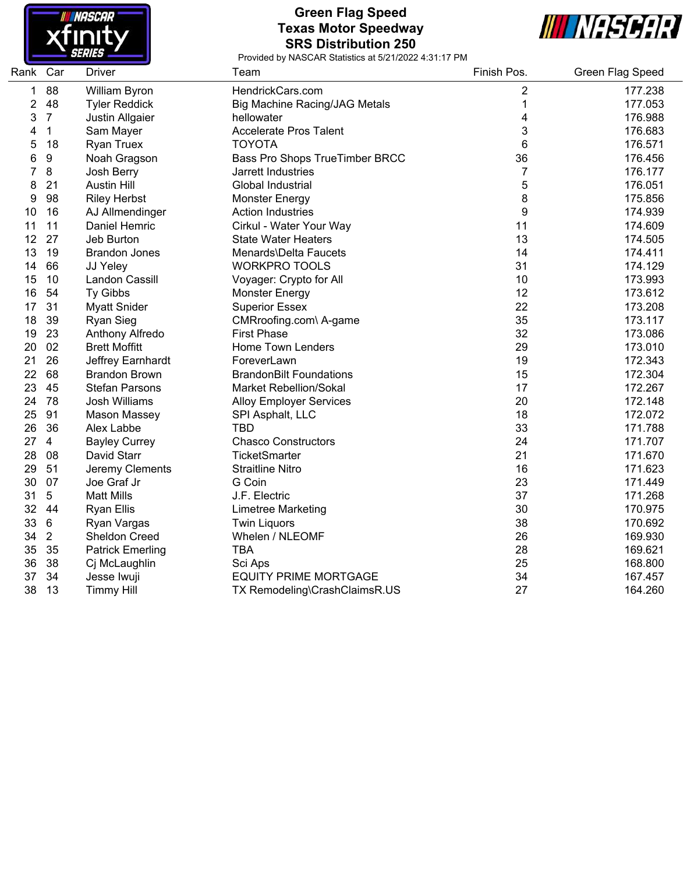

#### **Green Flag Speed Texas Motor Speedway SRS Distribution 250**



| Rank Car |                 | <b>Driver</b>           | Team                                 | Finish Pos. | <b>Green Flag Speed</b> |
|----------|-----------------|-------------------------|--------------------------------------|-------------|-------------------------|
| 1        | 88              | William Byron           | HendrickCars.com                     | 2           | 177.238                 |
| 2        | 48              | <b>Tyler Reddick</b>    | <b>Big Machine Racing/JAG Metals</b> | 1           | 177.053                 |
| 3        | $\overline{7}$  | Justin Allgaier         | hellowater                           | 4           | 176.988                 |
| 4        | 1               | Sam Mayer               | <b>Accelerate Pros Talent</b>        | 3           | 176.683                 |
| 5        | 18              | <b>Ryan Truex</b>       | <b>TOYOTA</b>                        | 6           | 176.571                 |
| 6        | 9               | Noah Gragson            | Bass Pro Shops TrueTimber BRCC       | 36          | 176.456                 |
| 7        | 8               | Josh Berry              | Jarrett Industries                   | 7           | 176.177                 |
| 8        | 21              | <b>Austin Hill</b>      | Global Industrial                    | 5           | 176.051                 |
| 9        | 98              | <b>Riley Herbst</b>     | <b>Monster Energy</b>                | 8           | 175.856                 |
| 10       | 16              | AJ Allmendinger         | <b>Action Industries</b>             | 9           | 174.939                 |
| 11       | 11              | Daniel Hemric           | Cirkul - Water Your Way              | 11          | 174.609                 |
| 12       | 27              | Jeb Burton              | <b>State Water Heaters</b>           | 13          | 174.505                 |
| 13       | 19              | <b>Brandon Jones</b>    | Menards\Delta Faucets                | 14          | 174.411                 |
| 14       | 66              | JJ Yeley                | <b>WORKPRO TOOLS</b>                 | 31          | 174.129                 |
| 15       | 10              | Landon Cassill          | Voyager: Crypto for All              | 10          | 173.993                 |
| 16       | 54              | Ty Gibbs                | <b>Monster Energy</b>                | 12          | 173.612                 |
| 17       | 31              | <b>Myatt Snider</b>     | <b>Superior Essex</b>                | 22          | 173.208                 |
| 18       | 39              | Ryan Sieg               | CMRroofing.com\ A-game               | 35          | 173.117                 |
| 19       | 23              | Anthony Alfredo         | <b>First Phase</b>                   | 32          | 173.086                 |
| 20       | 02              | <b>Brett Moffitt</b>    | Home Town Lenders                    | 29          | 173.010                 |
| 21       | 26              | Jeffrey Earnhardt       | ForeverLawn                          | 19          | 172.343                 |
| 22       | 68              | <b>Brandon Brown</b>    | <b>BrandonBilt Foundations</b>       | 15          | 172.304                 |
| 23       | 45              | <b>Stefan Parsons</b>   | <b>Market Rebellion/Sokal</b>        | 17          | 172.267                 |
| 24       | 78              | Josh Williams           | <b>Alloy Employer Services</b>       | 20          | 172.148                 |
| 25       | 91              | <b>Mason Massey</b>     | SPI Asphalt, LLC                     | 18          | 172.072                 |
| 26       | 36              | Alex Labbe              | <b>TBD</b>                           | 33          | 171.788                 |
| 27       | $\overline{4}$  | <b>Bayley Currey</b>    | <b>Chasco Constructors</b>           | 24          | 171.707                 |
| 28       | 08              | David Starr             | <b>TicketSmarter</b>                 | 21          | 171.670                 |
| 29       | 51              | Jeremy Clements         | <b>Straitline Nitro</b>              | 16          | 171.623                 |
| 30       | 07              | Joe Graf Jr             | G Coin                               | 23          | 171.449                 |
| 31       | 5               | <b>Matt Mills</b>       | J.F. Electric                        | 37          | 171.268                 |
| 32       | 44              | <b>Ryan Ellis</b>       | <b>Limetree Marketing</b>            | 30          | 170.975                 |
| 33       | $6\phantom{1}6$ | Ryan Vargas             | <b>Twin Liquors</b>                  | 38          | 170.692                 |
| 34       | $\overline{2}$  | Sheldon Creed           | Whelen / NLEOMF                      | 26          | 169.930                 |
| 35       | 35              | <b>Patrick Emerling</b> | <b>TBA</b>                           | 28          | 169.621                 |
| 36       | 38              | Cj McLaughlin           | Sci Aps                              | 25          | 168.800                 |
| 37       | 34              | Jesse Iwuji             | <b>EQUITY PRIME MORTGAGE</b>         | 34          | 167.457                 |
| 38       | 13              | <b>Timmy Hill</b>       | TX Remodeling\CrashClaimsR.US        | 27          | 164.260                 |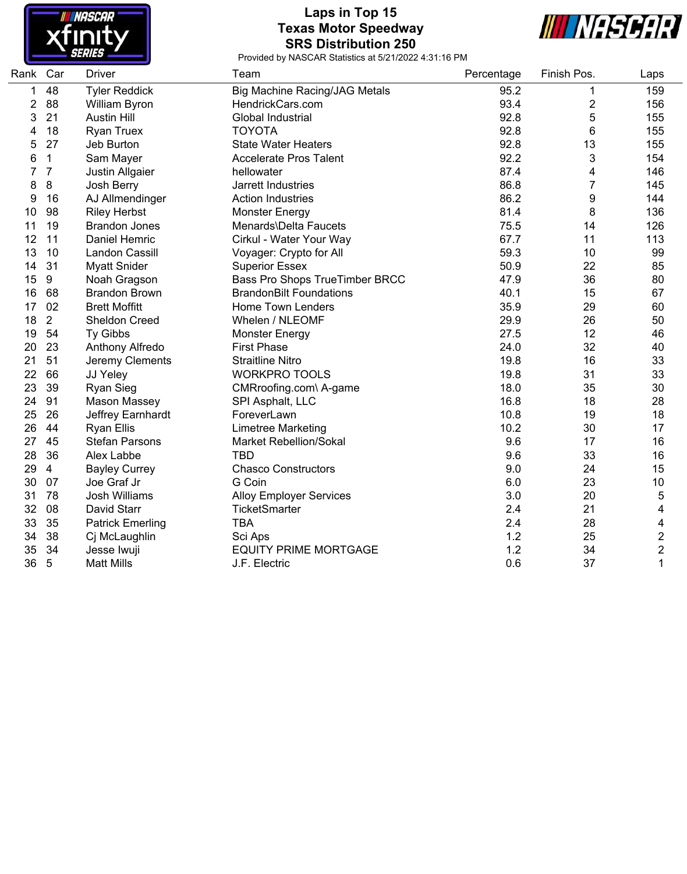

## **Laps in Top 15 Texas Motor Speedway SRS Distribution 250**



| Rank Car |                | <b>Driver</b>           | Team                                 | Percentage | Finish Pos.    | Laps           |
|----------|----------------|-------------------------|--------------------------------------|------------|----------------|----------------|
| 1        | 48             | <b>Tyler Reddick</b>    | <b>Big Machine Racing/JAG Metals</b> | 95.2       | 1              | 159            |
| 2        | 88             | William Byron           | HendrickCars.com                     | 93.4       | $\overline{c}$ | 156            |
| 3        | 21             | <b>Austin Hill</b>      | Global Industrial                    | 92.8       | 5              | 155            |
| 4        | 18             | <b>Ryan Truex</b>       | <b>TOYOTA</b>                        | 92.8       | 6              | 155            |
| 5        | 27             | Jeb Burton              | <b>State Water Heaters</b>           | 92.8       | 13             | 155            |
| 6        | $\mathbf{1}$   | Sam Mayer               | <b>Accelerate Pros Talent</b>        | 92.2       | 3              | 154            |
| 7        | $\overline{7}$ | Justin Allgaier         | hellowater                           | 87.4       | 4              | 146            |
| 8        | 8              | Josh Berry              | Jarrett Industries                   | 86.8       | $\overline{7}$ | 145            |
| 9        | 16             | AJ Allmendinger         | <b>Action Industries</b>             | 86.2       | 9              | 144            |
| 10       | 98             | <b>Riley Herbst</b>     | <b>Monster Energy</b>                | 81.4       | 8              | 136            |
| 11       | 19             | <b>Brandon Jones</b>    | Menards\Delta Faucets                | 75.5       | 14             | 126            |
| 12       | 11             | Daniel Hemric           | Cirkul - Water Your Way              | 67.7       | 11             | 113            |
| 13       | 10             | Landon Cassill          | Voyager: Crypto for All              | 59.3       | 10             | 99             |
| 14       | 31             | <b>Myatt Snider</b>     | <b>Superior Essex</b>                | 50.9       | 22             | 85             |
| 15       | $9\,$          | Noah Gragson            | Bass Pro Shops TrueTimber BRCC       | 47.9       | 36             | 80             |
| 16       | 68             | <b>Brandon Brown</b>    | <b>BrandonBilt Foundations</b>       | 40.1       | 15             | 67             |
| 17       | 02             | <b>Brett Moffitt</b>    | <b>Home Town Lenders</b>             | 35.9       | 29             | 60             |
| 18       | $\overline{2}$ | Sheldon Creed           | Whelen / NLEOMF                      | 29.9       | 26             | 50             |
| 19       | 54             | Ty Gibbs                | <b>Monster Energy</b>                | 27.5       | 12             | 46             |
| 20       | 23             | Anthony Alfredo         | <b>First Phase</b>                   | 24.0       | 32             | 40             |
| 21       | 51             | Jeremy Clements         | <b>Straitline Nitro</b>              | 19.8       | 16             | 33             |
| 22       | 66             | JJ Yeley                | <b>WORKPRO TOOLS</b>                 | 19.8       | 31             | 33             |
| 23       | 39             | <b>Ryan Sieg</b>        | CMRroofing.com\ A-game               | 18.0       | 35             | 30             |
| 24       | 91             | <b>Mason Massey</b>     | SPI Asphalt, LLC                     | 16.8       | 18             | 28             |
| 25       | 26             | Jeffrey Earnhardt       | ForeverLawn                          | 10.8       | 19             | 18             |
| 26       | 44             | <b>Ryan Ellis</b>       | Limetree Marketing                   | 10.2       | 30             | 17             |
| 27       | 45             | <b>Stefan Parsons</b>   | <b>Market Rebellion/Sokal</b>        | 9.6        | 17             | 16             |
| 28       | 36             | Alex Labbe              | <b>TBD</b>                           | 9.6        | 33             | 16             |
| 29       | $\overline{4}$ | <b>Bayley Currey</b>    | <b>Chasco Constructors</b>           | 9.0        | 24             | 15             |
| 30       | 07             | Joe Graf Jr             | G Coin                               | 6.0        | 23             | 10             |
| 31       | 78             | <b>Josh Williams</b>    | <b>Alloy Employer Services</b>       | 3.0        | 20             | 5              |
| 32       | 08             | David Starr             | <b>TicketSmarter</b>                 | 2.4        | 21             | 4              |
| 33       | 35             | <b>Patrick Emerling</b> | <b>TBA</b>                           | 2.4        | 28             | 4              |
| 34       | 38             | Cj McLaughlin           | Sci Aps                              | 1.2        | 25             | $\overline{c}$ |
| 35       | 34             | Jesse Iwuji             | <b>EQUITY PRIME MORTGAGE</b>         | 1.2        | 34             | $\overline{c}$ |
| 36       | 5              | <b>Matt Mills</b>       | J.F. Electric                        | 0.6        | 37             | $\mathbf{1}$   |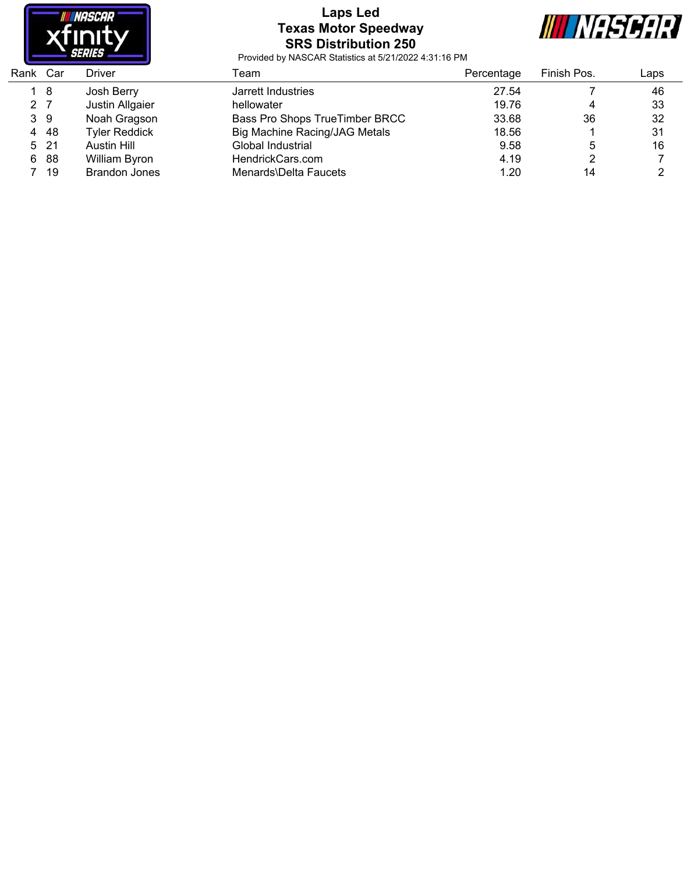

#### **Laps Led Texas Motor Speedway SRS Distribution 250**



| Rank Car |      | Driver               | Геаm                           | Percentage | Finish Pos. | Laps |
|----------|------|----------------------|--------------------------------|------------|-------------|------|
|          | 18   | Josh Berry           | Jarrett Industries             | 27.54      |             | 46   |
| 2 7      |      | Justin Allgaier      | hellowater                     | 19.76      | 4           | 33   |
| 39       |      | Noah Gragson         | Bass Pro Shops TrueTimber BRCC | 33.68      | 36          | 32   |
| 4        | -48  | <b>Tyler Reddick</b> | Big Machine Racing/JAG Metals  | 18.56      |             | 31   |
|          | 5 21 | Austin Hill          | Global Industrial              | 9.58       | 5           | 16   |
| 6        | -88  | William Byron        | HendrickCars.com               | 4.19       |             |      |
|          | 19   | <b>Brandon Jones</b> | Menards\Delta Faucets          | 1.20       | 14          |      |
|          |      |                      |                                |            |             |      |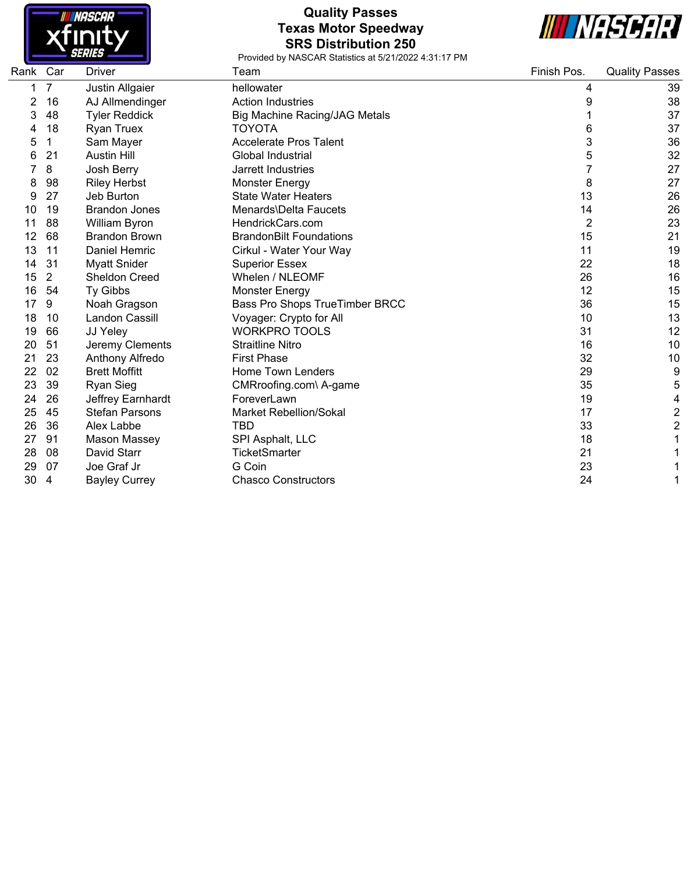

## **Quality Passes Texas Motor Speedway SRS Distribution 250**



| Rank Car |                | Driver                | Team                                 | Finish Pos. | <b>Quality Passes</b>   |
|----------|----------------|-----------------------|--------------------------------------|-------------|-------------------------|
|          | $\overline{7}$ | Justin Allgaier       | hellowater                           | 4           | 39                      |
| 2        | 16             | AJ Allmendinger       | <b>Action Industries</b>             | 9           | 38                      |
| 3        | 48             | <b>Tyler Reddick</b>  | <b>Big Machine Racing/JAG Metals</b> |             | 37                      |
|          | 18             | <b>Ryan Truex</b>     | <b>TOYOTA</b>                        | 6           | 37                      |
| 5        | 1              | Sam Mayer             | <b>Accelerate Pros Talent</b>        | 3           | 36                      |
| 6        | 21             | <b>Austin Hill</b>    | Global Industrial                    | 5           | 32                      |
|          | 8              | Josh Berry            | Jarrett Industries                   |             | 27                      |
| 8        | 98             | <b>Riley Herbst</b>   | <b>Monster Energy</b>                | 8           | 27                      |
| 9        | 27             | Jeb Burton            | <b>State Water Heaters</b>           | 13          | 26                      |
| 10       | 19             | <b>Brandon Jones</b>  | Menards\Delta Faucets                | 14          | 26                      |
| 11       | 88             | William Byron         | HendrickCars.com                     | 2           | 23                      |
| 12       | 68             | <b>Brandon Brown</b>  | <b>BrandonBilt Foundations</b>       | 15          | 21                      |
| 13       | 11             | Daniel Hemric         | Cirkul - Water Your Way              | 11          | 19                      |
| 14       | 31             | <b>Myatt Snider</b>   | <b>Superior Essex</b>                | 22          | 18                      |
| 15       | $\overline{2}$ | Sheldon Creed         | Whelen / NLEOMF                      | 26          | 16                      |
| 16       | 54             | Ty Gibbs              | <b>Monster Energy</b>                | 12          | 15                      |
| 17       | 9              | Noah Gragson          | Bass Pro Shops TrueTimber BRCC       | 36          | 15                      |
| 18       | 10             | Landon Cassill        | Voyager: Crypto for All              | 10          | 13                      |
| 19       | 66             | JJ Yeley              | <b>WORKPRO TOOLS</b>                 | 31          | 12                      |
| 20       | 51             | Jeremy Clements       | <b>Straitline Nitro</b>              | 16          | 10                      |
| 21       | 23             | Anthony Alfredo       | <b>First Phase</b>                   | 32          | 10                      |
| 22       | 02             | <b>Brett Moffitt</b>  | Home Town Lenders                    | 29          | 9                       |
| 23       | 39             | <b>Ryan Sieg</b>      | CMRroofing.com\ A-game               | 35          | 5                       |
| 24       | 26             | Jeffrey Earnhardt     | ForeverLawn                          | 19          | 4                       |
| 25       | 45             | <b>Stefan Parsons</b> | <b>Market Rebellion/Sokal</b>        | 17          | $\overline{c}$          |
| 26       | 36             | Alex Labbe            | TBD                                  | 33          | $\overline{\mathbf{c}}$ |
| 27       | 91             | Mason Massey          | SPI Asphalt, LLC                     | 18          | 1                       |
| 28       | 08             | David Starr           | TicketSmarter                        | 21          | 1                       |
| 29       | 07             | Joe Graf Jr           | G Coin                               | 23          | 1                       |
| 30       | $\overline{4}$ | <b>Bayley Currey</b>  | <b>Chasco Constructors</b>           | 24          | 1                       |